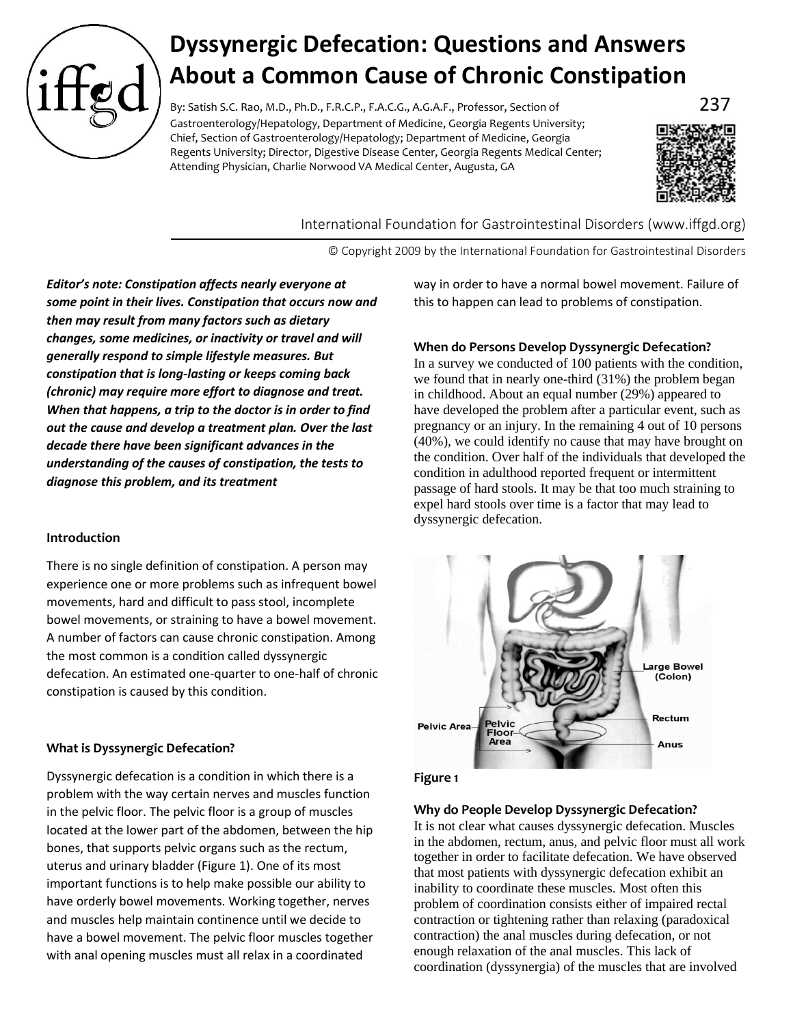

# **Dyssynergic Defecation: Questions and Answers About a Common Cause of Chronic Constipation**

By: Satish S.C. Rao, M.D., Ph.D., F.R.C.P., F.A.C.G., A.G.A.F., Professor, Section of  $237$ Gastroenterology/Hepatology, Department of Medicine, Georgia Regents University; Chief, Section of Gastroenterology/Hepatology; Department of Medicine, Georgia Regents University; Director, Digestive Disease Center, Georgia Regents Medical Center; Attending Physician, Charlie Norwood VA Medical Center, Augusta, GA



International Foundation for Gastrointestinal Disorders (www.iffgd.org)

© Copyright 2009 by the International Foundation for Gastrointestinal Disorders

*Editor's note: Constipation affects nearly everyone at some point in their lives. Constipation that occurs now and then may result from many factors such as dietary changes, some medicines, or inactivity or travel and will generally respond to simple lifestyle measures. But constipation that is long-lasting or keeps coming back (chronic) may require more effort to diagnose and treat. When that happens, a trip to the doctor is in order to find out the cause and develop a treatment plan. Over the last decade there have been significant advances in the understanding of the causes of constipation, the tests to diagnose this problem, and its treatment*

# **Introduction**

There is no single definition of constipation. A person may experience one or more problems such as infrequent bowel movements, hard and difficult to pass stool, incomplete bowel movements, or straining to have a bowel movement. A number of factors can cause chronic constipation. Among the most common is a condition called dyssynergic defecation. An estimated one-quarter to one-half of chronic constipation is caused by this condition.

# **What is Dyssynergic Defecation?**

Dyssynergic defecation is a condition in which there is a problem with the way certain nerves and muscles function in the pelvic floor. The pelvic floor is a group of muscles located at the lower part of the abdomen, between the hip bones, that supports pelvic organs such as the rectum, uterus and urinary bladder (Figure 1). One of its most important functions is to help make possible our ability to have orderly bowel movements. Working together, nerves and muscles help maintain continence until we decide to have a bowel movement. The pelvic floor muscles together with anal opening muscles must all relax in a coordinated

way in order to have a normal bowel movement. Failure of this to happen can lead to problems of constipation.

## **When do Persons Develop Dyssynergic Defecation?**

In a survey we conducted of 100 patients with the condition, we found that in nearly one-third (31%) the problem began in childhood. About an equal number (29%) appeared to have developed the problem after a particular event, such as pregnancy or an injury. In the remaining 4 out of 10 persons (40%), we could identify no cause that may have brought on the condition. Over half of the individuals that developed the condition in adulthood reported frequent or intermittent passage of hard stools. It may be that too much straining to expel hard stools over time is a factor that may lead to dyssynergic defecation.



### **Figure 1**

### **Why do People Develop Dyssynergic Defecation?**

It is not clear what causes dyssynergic defecation. Muscles in the abdomen, rectum, anus, and pelvic floor must all work together in order to facilitate defecation. We have observed that most patients with dyssynergic defecation exhibit an inability to coordinate these muscles. Most often this problem of coordination consists either of impaired rectal contraction or tightening rather than relaxing (paradoxical contraction) the anal muscles during defecation, or not enough relaxation of the anal muscles. This lack of coordination (dyssynergia) of the muscles that are involved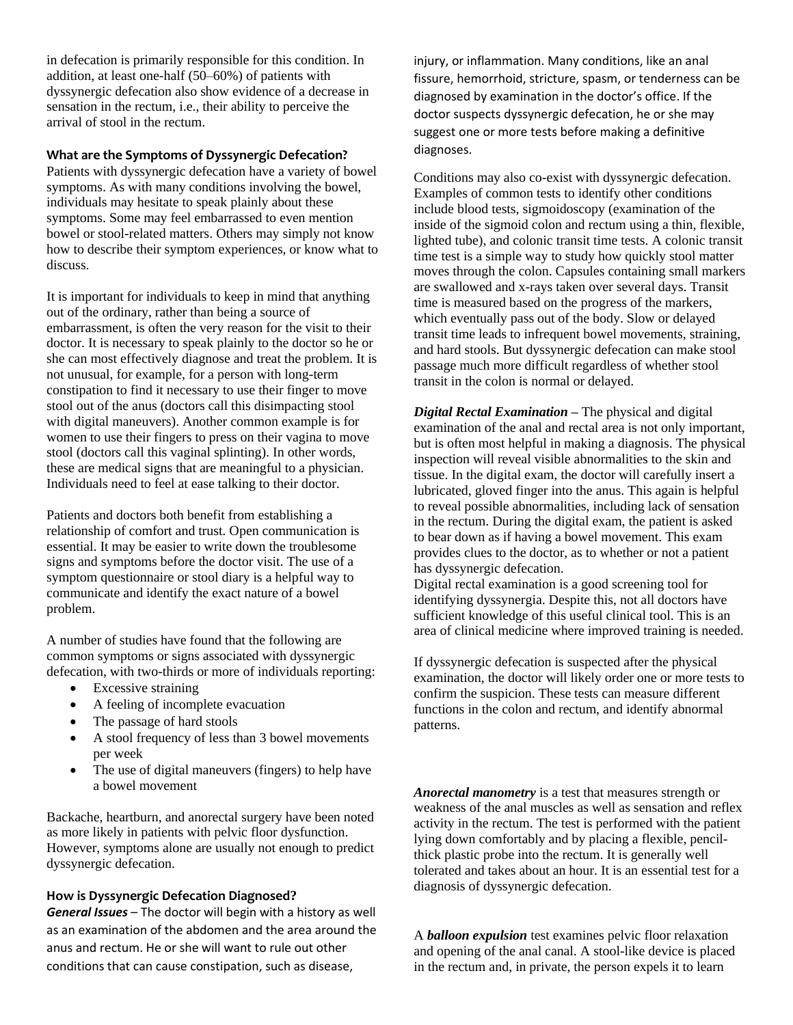in defecation is primarily responsible for this condition. In addition, at least one-half (50–60%) of patients with dyssynergic defecation also show evidence of a decrease in sensation in the rectum, i.e., their ability to perceive the arrival of stool in the rectum.

## **What are the Symptoms of Dyssynergic Defecation?**

Patients with dyssynergic defecation have a variety of bowel symptoms. As with many conditions involving the bowel, individuals may hesitate to speak plainly about these symptoms. Some may feel embarrassed to even mention bowel or stool-related matters. Others may simply not know how to describe their symptom experiences, or know what to discuss.

It is important for individuals to keep in mind that anything out of the ordinary, rather than being a source of embarrassment, is often the very reason for the visit to their doctor. It is necessary to speak plainly to the doctor so he or she can most effectively diagnose and treat the problem. It is not unusual, for example, for a person with long-term constipation to find it necessary to use their finger to move stool out of the anus (doctors call this disimpacting stool with digital maneuvers). Another common example is for women to use their fingers to press on their vagina to move stool (doctors call this vaginal splinting). In other words, these are medical signs that are meaningful to a physician. Individuals need to feel at ease talking to their doctor.

Patients and doctors both benefit from establishing a relationship of comfort and trust. Open communication is essential. It may be easier to write down the troublesome signs and symptoms before the doctor visit. The use of a symptom questionnaire or stool diary is a helpful way to communicate and identify the exact nature of a bowel problem.

A number of studies have found that the following are common symptoms or signs associated with dyssynergic defecation, with two-thirds or more of individuals reporting:

- Excessive straining
- A feeling of incomplete evacuation
- The passage of hard stools
- A stool frequency of less than 3 bowel movements per week
- The use of digital maneuvers (fingers) to help have a bowel movement

Backache, heartburn, and anorectal surgery have been noted as more likely in patients with pelvic floor dysfunction. However, symptoms alone are usually not enough to predict dyssynergic defecation.

### **How is Dyssynergic Defecation Diagnosed?**

*General Issues* – The doctor will begin with a history as well as an examination of the abdomen and the area around the anus and rectum. He or she will want to rule out other conditions that can cause constipation, such as disease,

injury, or inflammation. Many conditions, like an anal fissure, hemorrhoid, stricture, spasm, or tenderness can be diagnosed by examination in the doctor's office. If the doctor suspects dyssynergic defecation, he or she may suggest one or more tests before making a definitive diagnoses.

Conditions may also co-exist with dyssynergic defecation. Examples of common tests to identify other conditions include blood tests, sigmoidoscopy (examination of the inside of the sigmoid colon and rectum using a thin, flexible, lighted tube), and colonic transit time tests. A colonic transit time test is a simple way to study how quickly stool matter moves through the colon. Capsules containing small markers are swallowed and x-rays taken over several days. Transit time is measured based on the progress of the markers, which eventually pass out of the body. Slow or delayed transit time leads to infrequent bowel movements, straining, and hard stools. But dyssynergic defecation can make stool passage much more difficult regardless of whether stool transit in the colon is normal or delayed.

*Digital Rectal Examination* **–** The physical and digital examination of the anal and rectal area is not only important, but is often most helpful in making a diagnosis. The physical inspection will reveal visible abnormalities to the skin and tissue. In the digital exam, the doctor will carefully insert a lubricated, gloved finger into the anus. This again is helpful to reveal possible abnormalities, including lack of sensation in the rectum. During the digital exam, the patient is asked to bear down as if having a bowel movement. This exam provides clues to the doctor, as to whether or not a patient has dyssynergic defecation.

Digital rectal examination is a good screening tool for identifying dyssynergia. Despite this, not all doctors have sufficient knowledge of this useful clinical tool. This is an area of clinical medicine where improved training is needed.

If dyssynergic defecation is suspected after the physical examination, the doctor will likely order one or more tests to confirm the suspicion. These tests can measure different functions in the colon and rectum, and identify abnormal patterns.

*Anorectal manometry* is a test that measures strength or weakness of the anal muscles as well as sensation and reflex activity in the rectum. The test is performed with the patient lying down comfortably and by placing a flexible, pencilthick plastic probe into the rectum. It is generally well tolerated and takes about an hour. It is an essential test for a diagnosis of dyssynergic defecation.

A *balloon expulsion* test examines pelvic floor relaxation and opening of the anal canal. A stool-like device is placed in the rectum and, in private, the person expels it to learn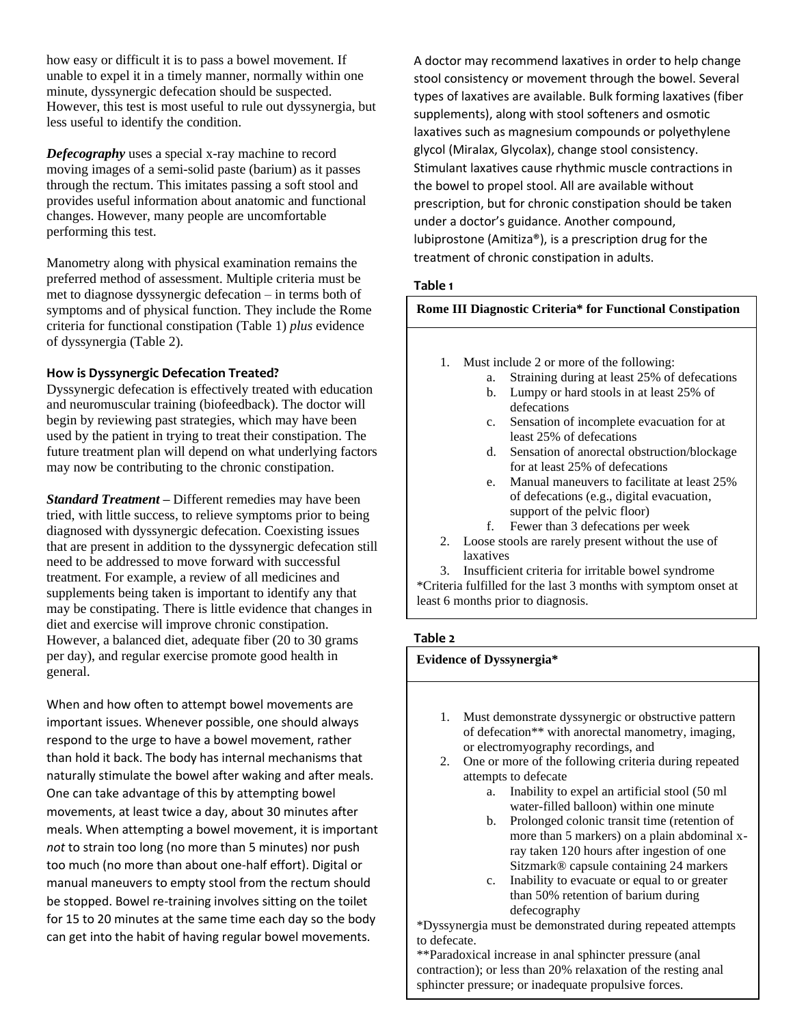how easy or difficult it is to pass a bowel movement. If unable to expel it in a timely manner, normally within one minute, dyssynergic defecation should be suspected. However, this test is most useful to rule out dyssynergia, but less useful to identify the condition.

*Defecography* uses a special x-ray machine to record moving images of a semi-solid paste (barium) as it passes through the rectum. This imitates passing a soft stool and provides useful information about anatomic and functional changes. However, many people are uncomfortable performing this test.

Manometry along with physical examination remains the preferred method of assessment. Multiple criteria must be met to diagnose dyssynergic defecation – in terms both of symptoms and of physical function. They include the Rome criteria for functional constipation (Table 1) *plus* evidence of dyssynergia (Table 2).

# **How is Dyssynergic Defecation Treated?**

Dyssynergic defecation is effectively treated with education and neuromuscular training (biofeedback). The doctor will begin by reviewing past strategies, which may have been used by the patient in trying to treat their constipation. The future treatment plan will depend on what underlying factors may now be contributing to the chronic constipation.

*Standard Treatment* **–** Different remedies may have been tried, with little success, to relieve symptoms prior to being diagnosed with dyssynergic defecation. Coexisting issues that are present in addition to the dyssynergic defecation still need to be addressed to move forward with successful treatment. For example, a review of all medicines and supplements being taken is important to identify any that may be constipating. There is little evidence that changes in diet and exercise will improve chronic constipation. However, a balanced diet, adequate fiber (20 to 30 grams per day), and regular exercise promote good health in general.

When and how often to attempt bowel movements are important issues. Whenever possible, one should always respond to the urge to have a bowel movement, rather than hold it back. The body has internal mechanisms that naturally stimulate the bowel after waking and after meals. One can take advantage of this by attempting bowel movements, at least twice a day, about 30 minutes after meals. When attempting a bowel movement, it is important *not* to strain too long (no more than 5 minutes) nor push too much (no more than about one-half effort). Digital or manual maneuvers to empty stool from the rectum should be stopped. Bowel re-training involves sitting on the toilet for 15 to 20 minutes at the same time each day so the body can get into the habit of having regular bowel movements.

A doctor may recommend laxatives in order to help change stool consistency or movement through the bowel. Several types of laxatives are available. Bulk forming laxatives (fiber supplements), along with stool softeners and osmotic laxatives such as magnesium compounds or polyethylene glycol (Miralax, Glycolax), change stool consistency. Stimulant laxatives cause rhythmic muscle contractions in the bowel to propel stool. All are available without prescription, but for chronic constipation should be taken under a doctor's guidance. Another compound, lubiprostone (Amitiza®), is a prescription drug for the treatment of chronic constipation in adults.

# **Table 1**

## **Rome III Diagnostic Criteria\* for Functional Constipation**

- 1. Must include 2 or more of the following:
	- a. Straining during at least 25% of defecations
	- b. Lumpy or hard stools in at least 25% of defecations
	- c. Sensation of incomplete evacuation for at least 25% of defecations
	- d. Sensation of anorectal obstruction/blockage for at least 25% of defecations
	- e. Manual maneuvers to facilitate at least 25% of defecations (e.g., digital evacuation, support of the pelvic floor)
	- f. Fewer than 3 defecations per week
- 2. Loose stools are rarely present without the use of laxatives

3. Insufficient criteria for irritable bowel syndrome \*Criteria fulfilled for the last 3 months with symptom onset at least 6 months prior to diagnosis.

# **Table 2**

## **Evidence of Dyssynergia\***

- 1. Must demonstrate dyssynergic or obstructive pattern of defecation\*\* with anorectal manometry, imaging, or electromyography recordings, and
- 2. One or more of the following criteria during repeated attempts to defecate
	- a. Inability to expel an artificial stool (50 ml water-filled balloon) within one minute
	- b. Prolonged colonic transit time (retention of more than 5 markers) on a plain abdominal xray taken 120 hours after ingestion of one Sitzmark® capsule containing 24 markers
	- c. Inability to evacuate or equal to or greater than 50% retention of barium during defecography

\*Dyssynergia must be demonstrated during repeated attempts to defecate.

\*\*Paradoxical increase in anal sphincter pressure (anal contraction); or less than 20% relaxation of the resting anal sphincter pressure; or inadequate propulsive forces.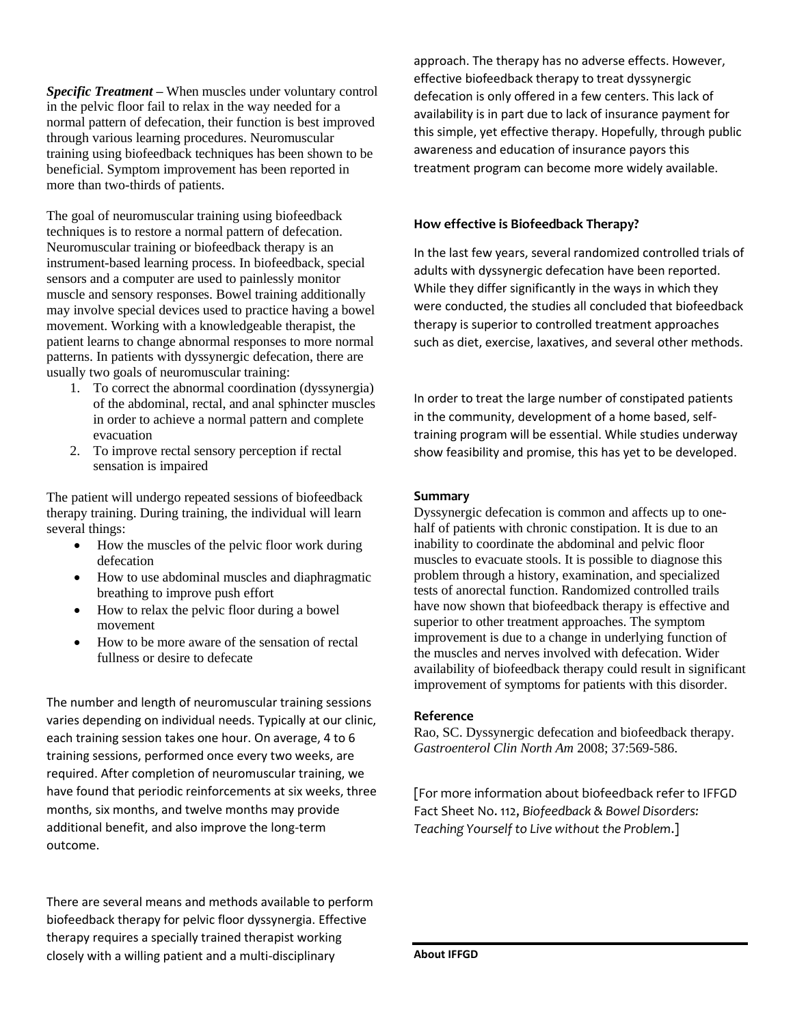*Specific Treatment* **–** When muscles under voluntary control in the pelvic floor fail to relax in the way needed for a normal pattern of defecation, their function is best improved through various learning procedures. Neuromuscular training using biofeedback techniques has been shown to be beneficial. Symptom improvement has been reported in more than two-thirds of patients.

The goal of neuromuscular training using biofeedback techniques is to restore a normal pattern of defecation. Neuromuscular training or biofeedback therapy is an instrument-based learning process. In biofeedback, special sensors and a computer are used to painlessly monitor muscle and sensory responses. Bowel training additionally may involve special devices used to practice having a bowel movement. Working with a knowledgeable therapist, the patient learns to change abnormal responses to more normal patterns. In patients with dyssynergic defecation, there are usually two goals of neuromuscular training:

- 1. To correct the abnormal coordination (dyssynergia) of the abdominal, rectal, and anal sphincter muscles in order to achieve a normal pattern and complete evacuation
- 2. To improve rectal sensory perception if rectal sensation is impaired

The patient will undergo repeated sessions of biofeedback therapy training. During training, the individual will learn several things:

- How the muscles of the pelvic floor work during defecation
- How to use abdominal muscles and diaphragmatic breathing to improve push effort
- How to relax the pelvic floor during a bowel movement
- How to be more aware of the sensation of rectal fullness or desire to defecate

The number and length of neuromuscular training sessions varies depending on individual needs. Typically at our clinic, each training session takes one hour. On average, 4 to 6 training sessions, performed once every two weeks, are required. After completion of neuromuscular training, we have found that periodic reinforcements at six weeks, three months, six months, and twelve months may provide additional benefit, and also improve the long-term outcome.

There are several means and methods available to perform biofeedback therapy for pelvic floor dyssynergia. Effective therapy requires a specially trained therapist working closely with a willing patient and a multi-disciplinary

approach. The therapy has no adverse effects. However, effective biofeedback therapy to treat dyssynergic defecation is only offered in a few centers. This lack of availability is in part due to lack of insurance payment for this simple, yet effective therapy. Hopefully, through public awareness and education of insurance payors this treatment program can become more widely available.

# **How effective is Biofeedback Therapy?**

In the last few years, several randomized controlled trials of adults with dyssynergic defecation have been reported. While they differ significantly in the ways in which they were conducted, the studies all concluded that biofeedback therapy is superior to controlled treatment approaches such as diet, exercise, laxatives, and several other methods.

In order to treat the large number of constipated patients in the community, development of a home based, selftraining program will be essential. While studies underway show feasibility and promise, this has yet to be developed.

#### **Summary**

Dyssynergic defecation is common and affects up to onehalf of patients with chronic constipation. It is due to an inability to coordinate the abdominal and pelvic floor muscles to evacuate stools. It is possible to diagnose this problem through a history, examination, and specialized tests of anorectal function. Randomized controlled trails have now shown that biofeedback therapy is effective and superior to other treatment approaches. The symptom improvement is due to a change in underlying function of the muscles and nerves involved with defecation. Wider availability of biofeedback therapy could result in significant improvement of symptoms for patients with this disorder.

#### **Reference**

Rao, SC. Dyssynergic defecation and biofeedback therapy. *Gastroenterol Clin North Am* 2008; 37:569-586.

[For more information about biofeedback refer to IFFGD Fact Sheet No. 112, *Biofeedback & Bowel Disorders: Teaching Yourself to Live without the Problem*.]